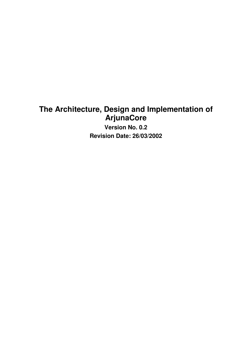**Version No. 0.2 Revision Date: 26/03/2002**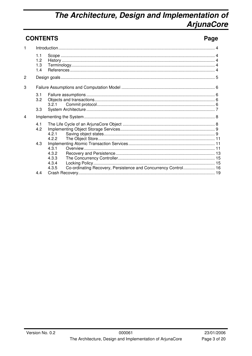### **CONTENTS**

### Page

| 1              |                          |                                                                                                             |  |  |
|----------------|--------------------------|-------------------------------------------------------------------------------------------------------------|--|--|
|                | 1.1<br>1.2<br>1.3<br>1.4 |                                                                                                             |  |  |
| 2              |                          |                                                                                                             |  |  |
| 3              |                          |                                                                                                             |  |  |
|                | 3.1<br>3.2               | 3.2.1                                                                                                       |  |  |
|                | 3.3                      |                                                                                                             |  |  |
| $\overline{4}$ |                          |                                                                                                             |  |  |
|                | 4 1<br>4.2               | 4.2.1<br>4.2.2                                                                                              |  |  |
|                | 4.3                      | 4.3.1<br>4.3.2<br>4.3.3<br>4.3.4<br>Co-ordinating Recovery, Persistence and Concurrency Control 16<br>4.3.5 |  |  |
|                | 44                       |                                                                                                             |  |  |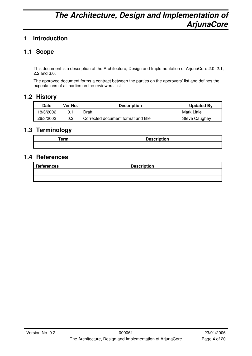### **1 Introduction**

### **1.1 Scope**

This document is a description of the Architecture, Design and Implementation of ArjunaCore 2.0, 2.1, 2.2 and 3.0.

The approved document forms a contract between the parties on the approvers' list and defines the expectations of all parties on the reviewers' list.

### **1.2 History**

| Date      | Ver No. | <b>Description</b>                  | <b>Updated By</b> |
|-----------|---------|-------------------------------------|-------------------|
| 18/3/2002 |         | <b>Draft</b>                        | Mark Little       |
| 26/3/2002 | 0.2     | Corrected document format and title | Steve Caughey     |

### **1.3 Terminology**

| ™erm | <b>Description</b> |
|------|--------------------|
|      |                    |

#### **1.4 References**

| <b>References</b> | <b>Description</b> |
|-------------------|--------------------|
|                   |                    |
|                   |                    |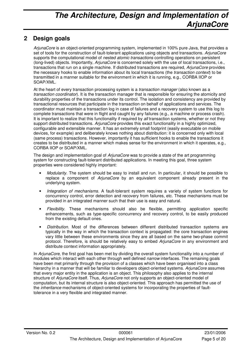### **2 Design goals**

ArjunaCore is an object-oriented programming system, implemented in 100% pure Java, that provides a set of tools for the construction of fault-tolerant applications using objects and transactions. ArjunaCore supports the computational model of nested atomic transactions controlling operations on persistent (long-lived) objects. Importantly, ArjunaCore is concerned solely with the use of local transactions, i.e., transactions that run on a single machine. If distributed transactions are required, ArjunaCore provides the necessary hooks to enable information about its local transactions (the *transaction context*) to be transmitted in a manner suitable for the environment in which it is running, e.g., CORBA IIOP or SOAP/XML.

At the heart of every transaction processing system is a *transaction manager* (also known as a transaction coordinator). It is the transaction manager that is responsible for ensuring the atomicity and durability properties of the transactions under its control. The isolation and consistency are provided by transactional resources that participate in the transaction on behalf of applications and services. The coordinator must maintain a transaction log in case of failures and a recovery system to use this log to complete transactions that were in flight and caught by any failures (e.g., a machine or process crash). It is important to realize that this functionality if required by all transaction systems, whether or not they support distributed transactions. ArjunaCore provides this exact functionality in a highly optimized, configurable and extensible manner. It has an extremely small footprint (easily executable on mobile devices, for example) and deliberately knows nothing about distribution: it is concerned only with local (same process) transactions. However, importantly it has sufficient hooks to enable the transactions it creates to be distributed in a manner which makes sense for the environment in which it operates, e.g., CORBA IIOP or SOAP/XML.

The design and implementation goal of *ArjunaCore* was to provide a state of the art programming system for constructing fault-tolerant distributed applications. In meeting this goal, three system properties were considered highly important:

- Modularity. The system should be easy to install and run. In particular, it should be possible to replace a component of ArjunaCore by an equivalent component already present in the underlying system.
- Integration of mechanisms. A fault-tolerant system requires a variety of system functions for concurrency control, error detection and recovery from failures, etc. These mechanisms must be provided in an integrated manner such that their use is easy and natural.
- Flexibility. These mechanisms should also be flexible, permitting application specific enhancements, such as type-specific concurrency and recovery control, to be easily produced from the existing default ones.
- Distribution. Most of the differences between different distributed transaction systems are typically in the way in which the transaction context is propagated: the core transaction engines vary little between these environments since they are all based on the same two-phase commit protocol. Therefore, is should be relatively easy to embed ArjunaCore in any environment and distribute context information appropriately.

In ArjunaCore, the first goal has been met by dividing the overall system functionality into a number of modules which interact with each other through well defined *narrow* interfaces. The remaining goals have been met primarily through the provision of a classes which have been organised into a class hierarchy in a manner that will be familiar to developers object-oriented systems. ArjunaCore assumes that every major entity in the application is an object. This philosophy also applies to the internal structure of ArjunaCore itself. Thus, ArjunaCore not only supports an object-oriented model of computation, but its internal structure is also object-oriented. This approach has permitted the use of the *inheritance* mechanisms of object-oriented systems for incorporating the properties of faulttolerance in a very flexible and integrated manner.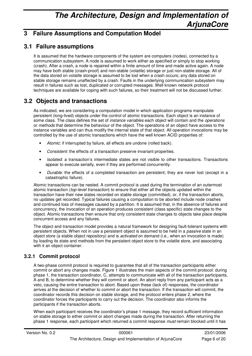### **3 Failure Assumptions and Computation Model**

### **3.1 Failure assumptions**

It is assumed that the hardware components of the system are computers (nodes), connected by a communication subsystem. A node is assumed to work either as specified or simply to stop working (crash). After a crash, a node is repaired within a finite amount of time and made active again. A node may have both stable (crash-proof) and non-stable (volatile) storage or just non-stable storage. All of the data stored on volatile storage is assumed to be lost when a crash occurs; any data stored on stable storage remains unaffected by a crash. Faults in the underlying communication subsystem may result in failures such as lost, duplicated or corrupted messages. Well known network protocol techniques are available for coping with such failures, so their treatment will not be discussed further.

### **3.2 Objects and transactions**

As indicated, we are considering a computation model in which application programs manipulate persistent (long-lived) objects under the control of atomic transactions. Each object is an instance of some class. The class defines the set of *instance variables* each object will contain and the *operations* or methods that determine the behaviour of the object. The operations of an object have access to the instance variables and can thus modify the internal state of that object. All operation invocations may be controlled by the use of atomic transactions which have the well known ACID properties of:

- Atomic: if interrupted by failure, all effects are undone (rolled back).
- Consistent: the effects of a transaction preserve invariant properties.
- Isolated: a transaction's intermediate states are not visible to other transactions. Transactions appear to execute serially, even if they are performed concurrently.
- Durable: the effects of a completed transaction are persistent; they are never lost (except in a catastrophic failure).

Atomic transactions can be nested. A commit protocol is used during the termination of an outermost atomic transaction (top-level transaction) to ensure that either all the objects updated within the transaction have their new states recorded on stable storage (committed), or, if the transaction aborts, no updates get recorded. Typical failures causing a computation to be aborted include node crashes and continued loss of messages caused by a partition. It is assumed that, in the absence of failures and concurrency, the invocation of an operation produces consistent (class specific) state changes to the object. Atomic transactions then ensure that only consistent state changes to objects take place despite concurrent access and any failures.

The object and transaction model provides a natural framework for designing fault-tolerant systems with persistent objects. When not in use a persistent object is assumed to be held in a *passive* state in an object store (a stable object repository) and is activated on demand (i.e., when an invocation is made) by loading its state and methods from the persistent object store to the volatile store, and associating with it an object container.

### **3.2.1 Commit protocol**

A two-phase commit protocol is required to guarantee that all of the transaction participants either commit or abort any changes made. Figure 1 illustrates the main aspects of the commit protocol: during phase 1, the transaction coordinator, C, attempts to communicate with all of the transaction participants, A and B, to determine whether they will commit or abort. An abort reply from any participant acts as a veto, causing the entire transaction to abort. Based upon these (lack of) responses, the coordinator arrives at the decision of whether to commit or abort the transaction. If the transaction will commit, the coordinator records this decision on stable storage, and the protocol enters phase 2, where the coordinator forces the participants to carry out the decision. The coordinator also informs the participants if the transaction aborts.

When each participant receives the coordinator's phase 1 message, they record sufficient information on stable storage to either commit or abort changes made during the transaction. After returning the phase 1 response, each participant which returned a commit response *must* remain blocked until it has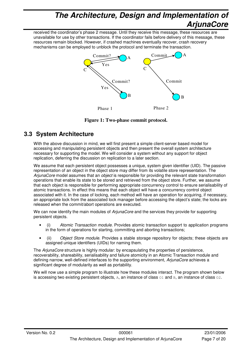received the coordinator's phase 2 message. Until they receive this message, these resources are unavailable for use by other transactions. If the coordinator fails before delivery of this message, these resources remain blocked. However, if crashed machines eventually recover, crash recovery mechanisms can be employed to unblock the protocol and terminate the transaction.



**Figure 1: Two-phase commit protocol.** 

### **3.3 System Architecture**

With the above discussion in mind, we will first present a simple client-server based model for accessing and manipulating persistent objects and then present the overall system architecture necessary for supporting the model. We will consider a system without any support for object replication, deferring the discussion on replication to a later section.

We assume that each persistent object possesses a unique, system given identifier (UID). The passive representation of an object in the object store may differ from its volatile store representation. The ArjunaCore model assumes that an *object* is responsible for providing the relevant state transformation operations that enable its state to be stored and retrieved from the object store. Further, we assume that each object is responsible for performing appropriate concurrency control to ensure serialisability of atomic transactions. In effect this means that each object will have a concurrency control object associated with it. In the case of locking, each method will have an operation for acquiring, if necessary, an appropriate lock from the associated lock manager before accessing the object's state; the locks are released when the commit/abort operations are executed.

We can now identify the main modules of ArjunaCore and the services they provide for supporting persistent objects.

- (i) Atomic Transaction module. Provides atomic transaction support to application programs in the form of operations for starting, committing and aborting transactions;
- (ii) Object Store module. Provides a stable storage repository for objects; these objects are assigned unique identifiers (UIDs) for naming them.

The ArjunaCore structure is highly modular: by encapsulating the properties of persistence, recoverability, shareability, serialisability and failure atomicity in an Atomic Transaction module and defining narrow, well-defined interfaces to the supporting environment, ArjunaCore achieves a significant degree of modularity as well as portability.

We will now use a simple program to illustrate how these modules interact. The program shown below is accessing two existing persistent objects,  $A$ , an instance of class  $O1$  and  $B$ , an instance of class  $O2$ .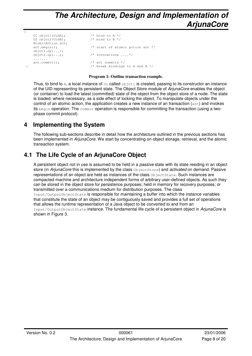```
{ 
    O1 objet1(UidA); \frac{x}{100} /* bind to A */<br>02 objet2(UidB): \frac{x}{100} /* bind to B */
                                    y^* bind to B */
     AtomicAction act; 
    act.begin(); \frac{1}{2} /* start of atomic action act */
     objct1.op(...); 
    objct2.op(...); /* invocations ...*/
      ....... 
     act.commit(); /* act commits */ 
                                    /* break bindings to A and B */
```
#### **Program 1: Outline transaction example.**

Thus, to bind to A, a local instance of  $\circ$ 1 called  $\circ$ b<sub>1</sub> ct 1 is created, passing to its constructor an instance of the UID representing its persistent state. The Object Store module of ArjunaCore enables the object (or container) to load the latest (committed) state of the object from the object store of a node. The state is loaded, where necessary, as a side effect of locking the object. To manipulate objects under the control of an atomic action, the application creates a new instance of an transaction (act) and invokes its begin operation. The commit operation is responsible for committing the transaction (using a twophase commit protocol).

### **4 Implementing the System**

The following sub-sections describe in detail how the architecture outlined in the previous sections has been implemented in ArjunaCore. We start by concentrating on object storage, retrieval, and the atomic transaction system.

### **4.1 The Life Cycle of an ArjunaCore Object**

A persistent object not in use is assumed to be held in a *passive* state with its state residing in an object store (in AriunaCore this is implemented by the class object Store) and activated on demand. Passive representations of an object are held as instances of the class ObjectState. Such instances are compacted machine and architecture independent forms of arbitrary user-defined objects. As such they can be stored in the object store for persistence purposes; held in memory for recovery purposes; or transmitted over a communications medium for distribution purposes. The class Input/OutputObjectState is responsible for maintaining a buffer into which the instance variables that constitute the state of an object may be contiguously saved and provides a full set of operations that allows the runtime representation of a Java object to be converted to and from an Input/OutputObjectState instance. The fundamental life cycle of a persistent object in ArjunaCore is shown in Figure 3.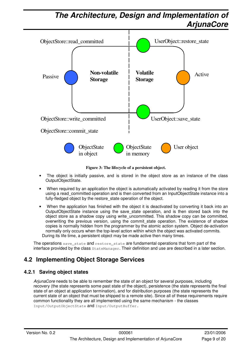

**Figure 3: The lifecycle of a persistent object.** 

- The object is initially passive, and is stored in the object store as an instance of the class OutputObjectState.
- When required by an application the object is automatically activated by reading it from the store using a read committed operation and is then converted from an InputObjectState instance into a fully-fledged object by the restore\_state operation of the object.
- When the application has finished with the object it is deactivated by converting it back into an OutputObjectState instance using the save\_state operation, and is then stored back into the object store as a shadow copy using write uncommitted. This shadow copy can be committed, overwriting the previous version, using the commit\_state operation. The existence of shadow copies is normally hidden from the programmer by the atomic action system. Object de-activation normally only occurs when the top-level action within which the object was activated commits. During its life time, a persistent object may be made active then many times.

The operations save state and restore state are fundamental operations that form part of the interface provided by the class  $statelManager$ . Their definition and use are described in a later section.

### **4.2 Implementing Object Storage Services**

#### **4.2.1 Saving object states**

ArjunaCore needs to be able to remember the state of an object for several purposes, including recovery (the state represents some past state of the object), persistence (the state represents the final state of an object at application termination), and for distribution purposes (the state represents the current state of an object that must be shipped to a remote site). Since all of these requirements require common functionality they are all implemented using the same mechanism - the classes Input/OutputObjectState and Input/OutputBuffer.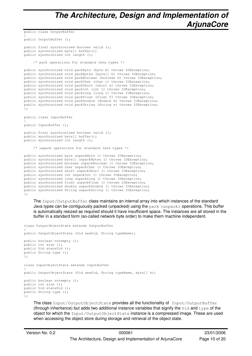```
public class OutputBuffer 
{ 
public OutputBuffer (); 
public final synchronized boolean valid (); 
public synchronized byte[] buffer(); 
public synchronized int length (); 
      /* pack operations for standard Java types */ 
public synchronized void packByte (byte b) throws IOException; 
public synchronized void packBytes (byte[] b) throws IOException; 
public synchronized void packBoolean (boolean b) throws IOException; 
public synchronized void packChar (char c) throws IOException; 
public synchronized void packShort (short s) throws IOException; 
public synchronized void packInt (int i) throws IOException; 
public synchronized void packLong (long l) throws IOException; 
public synchronized void packFloat (float f) throws IOException; 
public synchronized void packDouble (double d) throws IOException; 
public synchronized void packString (String s) throws IOException;
}; 
public class InputBuffer 
{ 
public InputBuffer (); 
public final synchronized boolean valid (); 
public synchronized byte[] buffer(); 
public synchronized int length (); 
      /* unpack operations for standard Java types */ 
public synchronized byte unpackByte () throws IOException; 
public synchronized byte[] unpackBytes () throws IOException; 
public synchronized boolean unpackBoolean () throws IOException; 
public synchronized char unpackChar () throws IOException; 
public synchronized short unpackShort () throws IOException; 
public synchronized int unpackInt () throws IOException; 
public synchronized long unpackLong () throws IOException; 
public synchronized float unpackFloat () throws IOException; 
public synchronized double unpackDouble () throws IOException; 
public synchronized String unpackString () throws IOException; 
}; 
     The Input/OutputBuffer class maintains an internal array into which instances of the standard
     Java types can be contiguously packed (unpacked) using the _{\text{pack}} (unpack) operations. This buffer
     is automatically resized as required should it have insufficient space. The instances are all stored in the 
     buffer in a standard form (so-called network byte order) to make them machine independent. 
class OutputObjectState extends OutputBuffer 
{ 
public OutputObjectState (Uid newUid, String typeName);
```
public boolean notempty (); public int size (); public Uid stateUid (); public String type (); }; class InputObjectState extends InputBuffer { public OutputObjectState (Uid newUid, String typeName, byte[] b); public boolean notempty (); public int size (); public Uid stateUid (); public String type (); };

The class Input/OutputObjectState provides all the functionality of Input/OutputBuffer (through inheritance) but adds two additional instance variables that signify the Uid and type of the object for which the Input/OutputObjectState instance is a compressed image. These are used when accessing the object store during storage and retrieval of the object state.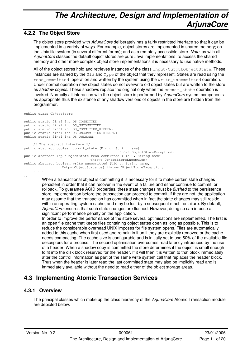#### **4.2.2 The Object Store**

The object store provided with ArjunaCore deliberately has a fairly restricted interface so that it can be implemented in a variety of ways. For example, object stores are implemented in shared memory; on the Unix file system (in several different forms); and as a remotely accessible store. Note: as with all ArjunaCore classes the default object stores are pure Java implementations; to access the shared memory and other more complex object store implementations it is necessary to use native methods.

All of the object stores hold and retrieves instances of the class Input/OutputObjectState. These instances are named by the  $Uid$  and  $Type$  of the object that they represent. States are read using the read committed operation and written by the system using the write uncommitted operation. Under normal operation new object states do not overwrite old object states but are written to the store as shadow copies. These shadows replace the original only when the commit\_state operation is invoked. Normally all interaction with the object store is performed by ArjunaCore system components as appropriate thus the existence of any shadow versions of objects in the store are hidden from the programmer.

public class ObjectStore

```
{ 
public static final int OS_COMMITTED; 
public static final int OS_UNCOMMITTED; 
public static final int OS_COMMITTED_HIDDEN; 
public static final int OS_UNCOMMITTED_HIDDEN; 
public static final int OS_UNKNOWN; 
      /* The abstract interface */ 
public abstract boolean commit_state (Uid u, String name) 
                                                throws ObjectStoreException; 
public abstract InputObjectState read_committed (Uid u, String name) 
                                  throws ObjectStoreException; 
public abstract boolean write_uncommitted (Uid u, String name, 
                    OutputObjectState os) throws ObjectStoreException;
```
 . . . };

When a transactional object is committing it is necessary for it to make certain state changes persistent in order that it can recover in the event of a failure and either continue to commit, or rollback. To guarantee ACID properties, these state changes must be flushed to the persistence store implementation before the transaction can proceed to commit; if they are not, the application may assume that the transaction has committed when in fact the state changes may still reside within an operating system cache, and may be lost by a subsequent machine failure. By default, ArjunaCore ensures that such state changes are flushed. However, doing so can impose a significant performance penalty on the application.

In order to improve the performance of the store several optimisations are implemented. The first is an open file cache that keeps files containing object states open as long as possible. This is to reduce the considerable overhead UNIX imposes for file system opens. Files are automatically added to this cache when first used and remain in it until they are explicitly removed or the cache needs compacting. The cache size is configurable and is initially set to use 50% of the available file descriptors for a process. The second optimisation overcomes read latency introduced by the use of a header. When a shadow copy is committed the store determines if the object is small enough to fit into the disk block reserved for the header. If it will then it is written to that block immediately after the control information as part of the same write system call that replaces the header block. Thus when the header is later read the last committed state may also be implicitly read and is immediately available without the need to read either of the object storage areas.

### **4.3 Implementing Atomic Transaction Services**

#### **4.3.1 Overview**

The principal classes which make up the class hierarchy of the ArjunaCore Atomic Transaction module are depicted below.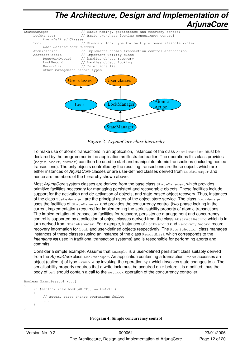

*Figure 2: ArjunaCore class hierarchy* 

To make use of atomic transactions in an application, instances of the class AtomicAction must be declared by the programmer in the application as illustrated earlier. The operations this class provides (begin, abort, commit) can then be used to start and manipulate atomic transactions (including nested transactions). The only objects controlled by the resulting transactions are those objects which are either instances of ArjunaCore classes or are user-defined classes derived from LockManager and hence are members of the hierarchy shown above.

Most ArjunaCore system classes are derived from the base class stateManager, which provides primitive facilities necessary for managing persistent and recoverable objects. These facilities include support for the activation and de-activation of objects, and state-based object recovery. Thus, instances of the class stateManager are the principal users of the object store service. The class LockManager uses the facilities of StateManager and provides the concurrency control (two-phase locking in the current implementation) required for implementing the serialisability property of atomic transactions. The implementation of transaction facilities for recovery, persistence management and concurrency control is supported by a collection of object classes derived from the class AbstractRecord which is in turn derived from stateManager. For example, instances of LockRecord and RecoveryRecord record recovery information for  $_{\text{Lock}}$  and user-defined objects respectively. The  $_{\text{AtomicAction}}$  class manages instances of these classes (using an instance of the class RecordList which corresponds to the intentions list used in traditional transaction systems) and is responsible for performing aborts and commits.

Consider a simple example. Assume that  $\text{Example}$  is a user-defined persistent class suitably derived from the ArjunaCore class LockManager. An application containing a transaction Trans accesses an object (called  $\circ$ ) of type  $\text{Example 1}$  by invoking the operation  $\circ$ <sup>1</sup> which involves state changes to  $\circ$ . The serialisability property requires that a write lock must be acquired on  $\circ$  before it is modified; thus the body of  $_{\text{op1}}$  should contain a call to the setlock operation of the concurrency controller:

```
Boolean Example::op1 (...) 
{ 
       if (setlock (new Lock(WRITE)) == GRANTED) 
\left\{\begin{array}{ccc} \end{array}\right\} // actual state change operations follow 
              ... 
 } 
}
```
#### **Program 4: Simple concurrency control**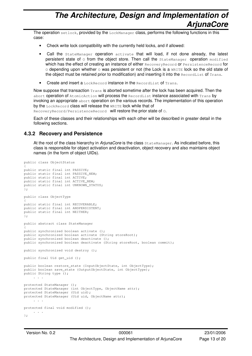The operation setlock, provided by the LockManager class, performs the following functions in this case:

- Check write lock compatibility with the currently held locks, and if allowed:
- Call the stateManager operation activate that will load, if not done already, the latest persistent state of  $\circ$  from the object store. Then call the  $StateManager$  operation modified which has the effect of creating an instance of either RecoveryRecord or PersistenceRecord for  $\circ$  depending upon whether  $\circ$  was persistent or not (the Lock is a WRITE lock so the old state of the object must be retained prior to modification) and inserting it into the RecordList of Trans.
- Create and insert a LockRecord instance in the RecordList of Trans.

Now suppose that transaction  $Trans$  is aborted sometime after the lock has been acquired. Then the abort operation of AtomicAction will process the RecordList instance associated with Trans by invoking an appropriate  $_{\text{abort}}$  operation on the various records. The implementation of this operation by the LockRecord class will release the WRITE lock while that of

RecoveryRecord/PersistenceRecord will restore the prior state of 0.

Each of these classes and their relationships with each other will be described in greater detail in the following sections.

#### **4.3.2 Recovery and Persistence**

At the root of the class hierarchy in ArjunaCore is the class StateManager. As indicated before, this class is responsible for object activation and deactivation, object recovery and also maintains object names (in the form of object UIDs).

```
public class ObjectStatus 
{ 
public static final int PASSIVE; 
public static final int PASSIVE_NEW; 
public static final int ACTIVE; 
public static final int ACTIVE_NEW; 
public static final int UNKNOWN_STATUS; 
}; 
public class ObjectType 
{ 
public static final int RECOVERABLE; 
public static final int ANDPERSISTENT; 
public static final int NEITHER; 
}; 
public abstract class StateManager 
{ 
public synchronized boolean activate (); 
public synchronized boolean activate (String storeRoot); 
public synchronized boolean deactivate (); 
public synchronized boolean deactivate (String storeRoot, boolean commit); 
public synchronized void destroy (); 
public final Uid get uid ();
public boolean restore_state (InputObjectState, int ObjectType); 
public boolean save_state (OutputObjectState, int ObjectType); 
public String type (); 
 . . . 
protected StateManager (); 
protected StateManager (int ObjectType, ObjectName attr); 
protected StateManager (Uid uid); 
protected StateManager (Uid uid, ObjectName attr); 
 . . . 
protected final void modified (); 
      . . . 
};
```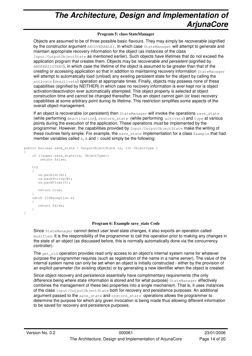#### **Program 5: class StateManager**

Objects are assumed to be of three possible basic flavours. They may simply be recoverable (signified by the constructor argument RECOVERABLE), in which case StateManager will attempt to generate and maintain appropriate recovery information for the object (as instances of the class Input/OutputObjectState as mentioned earlier). Such objects have lifetimes that do not exceed the application program that creates them. Objects may be recoverable and persistent (signified by ANDPERSISTENT), in which case the lifetime of the object is assumed to be greater than that of the creating or accessing application so that in addition to maintaining recovery information stateManager will attempt to automatically load (unload) any existing persistent state for the object by calling the activate (deactivate) operation at appropriate times. Finally, objects may possess none of these capabilities (signified by NEITHER) in which case no recovery information is ever kept nor is object activation/deactivation ever automatically attempted. This object property is selected at object construction time and cannot be changed thereafter. Thus an object cannot gain (or lose) recovery capabilities at some arbitrary point during its lifetime. This restriction simplifies some aspects of the overall object management.

If an object is recoverable (or persistent) then StateManager will invoke the operations save\_state (while performing deactivation), restore state (while performing activate) and type at various points during the execution of the application. These operations *must* be implemented by the programmer. However, the capabilities provided by Input/OutputObjectState make the writing of these routines fairly simple. For example, the save\_state implementation for a class Example that had member variables called  $A$ ,  $B$  and  $C$  could simply be the following:

```
public boolean save_state ( OutputObjectState os, int ObjectType ) 
{
```

```
 if (!super.save_state(os, ObjectType)) 
         return false; 
     try 
     { 
        os.packInt(A); 
        os.packString(B); 
         os.packFloat(C); 
        return true; 
 } 
     catch (IOException e) 
     { 
        return false; 
 } 
}
```
#### **Program 6: Example save\_state Code**

Since StateManager cannot detect user level state changes, it also exports an operation called modified. It is the responsibility of the programmer to call this operation prior to making any changes in the state of an object (as discussed before, this is normally automatically done via the concurrency controller).

The  $qet\_uid$  operation provides read only access to an object's internal system name for whatever purpose the programmer requires (such as registration of the name in a name server). The value of the internal system name can only be set when an object is initially constructed - either by the provision of an explicit parameter (for existing objects) or by generating a new identifier when the object is created.

Since object recovery and persistence essentially have complimentary requirements (the only difference being where state information is stored and for what purpose)  $stat$ exameger effectively combines the management of these two properties into a single mechanism. That is, it uses instances of the class Input/OutputObjectState both for recovery and persistence purposes. An additional argument passed to the save\_state and restore\_state operations allows the programmer to determine the purpose for which any given invocation is being made thus allowing different information to be saved for recovery and persistence purposes.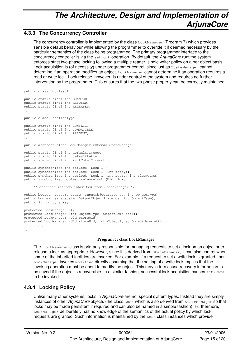#### **4.3.3 The Concurrency Controller**

The concurrency controller is implemented by the class  $Loss$   $LockManager$  (Program 7) which provides sensible default behaviour while allowing the programmer to override it if deemed necessary by the particular semantics of the class being programmed. The primary programmer interface to the concurrency controller is via the  $setlock$  operation. By default, the ArjunaCore runtime system enforces strict two-phase locking following a multiple reader, single writer policy on a per object basis. Lock acquisition is (of necessity) under programmer control, since just as stateManager cannot determine if an operation modifies an object, LockManager cannot determine if an operation requires a read or write lock. Lock release, however, is under control of the system and requires no further intervention by the programmer. This ensures that the two-phase property can be correctly maintained.

```
public class LockResult 
{ 
public static final int GRANTED; 
public static final int REFUSED; 
public static final int RELEASED; 
}; 
public class ConflictType 
{ 
public static final int CONFLICT; 
public static final int COMPATIBLE; 
public static final int PRESENT; 
}; 
public abstract class LockManager extends StateManager 
{ 
public static final int defaultTimeout;
public static final int defaultRetry; 
public static final int waitTotalTimeout; 
public synchronized int setlock (Lock l); 
public synchronized int setlock (Lock l, int retry); 
public synchronized int setlock (Lock l, int retry, int sleepTime); 
public synchronized boolean releaselock (Uid uid); 
     /* abstract methods inherited from StateManager */
public boolean restore state (InputObjectState os, int ObjectType);
public boolean save_state (OutputObjectState os, int ObjectType); 
public String type (); 
protected LockManager (); 
protected LockManager (int ObjectType, ObjectName attr); 
protected LockManager (Uid storeUid);
protected LockManager (Uid storeUid, int ObjectType, ObjectName attr);
      . . . 
};
```
#### **Program 7: class LockManager**

The LockManager class is primarily responsible for managing requests to set a lock on an object or to release a lock as appropriate. However, since it is derived from stateManager, it can also control when some of the inherited facilities are invoked. For example, if a request to set a write lock is granted, then LockManager invokes modified directly assuming that the setting of a write lock implies that the invoking operation must be about to modify the object. This may in turn cause recovery information to be saved if the object is recoverable. In a similar fashion, successful lock acquisition causes activate to be invoked.

### **4.3.4 Locking Policy**

Unlike many other systems, locks in ArjunaCore are not special system types. Instead they are simply instances of other ArjunaCore objects (the class Lock which is also derived from StateManager so that locks may be made persistent if required and can also be named in a simple fashion). Furthermore, LockManager deliberately has no knowledge of the semantics of the actual policy by which lock requests are granted. Such information is maintained by the  $_{\text{Lock}}$  class instances which provide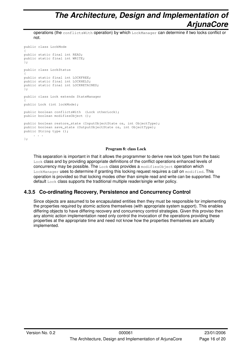operations (the conflictsWith operation) by which LockManager can determine if two locks conflict or not.

```
public class LockMode 
{ 
public static final int READ; 
public static final int WRITE;
}; 
public class LockStatus 
{ 
public static final int LOCKFREE; 
public static final int LOCKHELD; 
public static final int LOCKRETAINED; 
}; 
public class Lock extends StateManager 
{ 
public Lock (int lockMode); 
public boolean conflictsWith (Lock otherLock); 
public boolean modifiesObject (); 
public boolean restore_state (InputObjectState os, int ObjectType); 
public boolean save_state (OutputObjectState os, int ObjectType);
public String type (); 
      . . . 
};
```
#### **Program 8: class Lock**

This separation is important in that it allows the programmer to derive new lock types from the basic Lock class and by providing appropriate definitions of the conflict operations enhanced levels of concurrency may be possible. The Lock class provides a modifiesObject operation which LockManager uses to determine if granting this locking request requires a call on modified. This operation is provided so that locking modes other than simple read and write can be supported. The default Lock class supports the traditional multiple reader/single writer policy.

#### **4.3.5 Co-ordinating Recovery, Persistence and Concurrency Control**

Since objects are assumed to be encapsulated entities then they must be responsible for implementing the properties required by atomic actions themselves (with appropriate system support). This enables differing objects to have differing recovery and concurrency control strategies. Given this proviso then any atomic action implementation need only control the invocation of the operations providing these properties at the appropriate time and need not know how the properties themselves are actually implemented.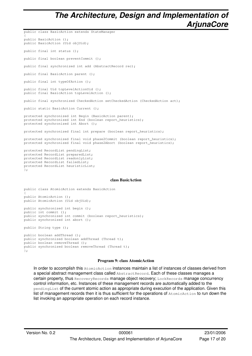```
public class BasicAction extends StateManager 
{ 
public BasicAction (); 
public BasicAction (Uid objUid); 
public final int status (); 
public final boolean preventCommit (); 
public final synchronized int add (AbstractRecord rec);
public final BasicAction parent (); 
public final int typeOfAction (); 
public final Uid topLevelActionUid (); 
public final BasicAction topLevelAction (); 
public final synchronized CheckedAction setCheckedAction (CheckedAction act); 
public static BasicAction Current (); 
protected synchronized int Begin (BasicAction parent); 
protected synchronized int End (boolean report_heuristics); 
protected synchronized int Abort (); 
protected synchronized final int prepare (boolean report_heuristics); 
protected synchronized final void phase2Commit (boolean report heuristics);
protected synchronized final void phase2Abort (boolean report_heuristics); 
protected RecordList pendingList; 
protected RecordList preparedList; 
protected RecordList readonlyList; 
protected RecordList failedList; 
protected RecordList heuristicList; 
};
```
#### **class BasicAction**

```
public class AtomicAction extends BasicAction 
{ 
public AtomicAction (); 
public AtomicAction (Uid objUid); 
public synchronized int begin (); 
public int commit (); 
public synchronized int commit (boolean report heuristics);
public synchronized int abort (); 
public String type (); 
public boolean addThread (); 
public synchronized boolean addThread (Thread t); 
public boolean removeThread ();
public synchronized boolean removeThread (Thread t); 
};
```
#### **Program 9: class AtomicAction**

In order to accomplish this AtomicAction instances maintain a list of instances of classes derived from a special abstract management class called AbstractRecord. Each of these classes manages a certain property, thus RecoveryRecords manage object recovery; LockRecords manage concurrency control information, etc. Instances of these management records are automatically added to the pendingList of the current atomic action as appropriate during execution of the application. Given this list of management records then it is thus sufficient for the operations of AtomicAction to run down the list invoking an appropriate operation on each record instance.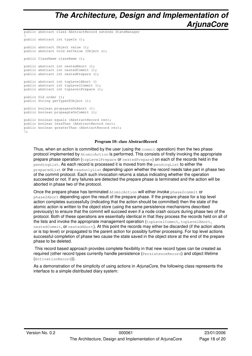```
public abstract class AbstractRecord extends StateManager 
{ 
public abstract int typeIs ();
public abstract Object value (); 
public abstract void setValue (Object o); 
public ClassName className (); 
public abstract int nestedAbort (); 
public abstract int nestedCommit (); 
public abstract int nestedPrepare (); 
public abstract int topLevelAbort () 
public abstract int topLevelCommit (); 
public abstract int topLevelPrepare (); 
public Uid order (); 
public String getTypeOfObject (); 
public boolean propagateOnAbort (): 
public boolean propaagteOnCommit (); 
public boolean equals (AbstractRecord rec); 
public boolean lessThan (AbstractRecord rec); 
public boolean greaterThan (AbstractRecord rec);
};
```
#### **Program 10: class AbstractRecord**

Thus, when an action is committed by the user (using the  $commit$  operation) then the two phase protocol implemented by AtomicAction is performed. This consists of firstly invoking the appropriate prepare phase operation (topLevelPrepare or nestedPrepare) on each of the records held in the pendingList. As each record is processed it is moved from the pendingList to either the preparedList or the readonlyList depending upon whether the record needs take part in phase two of the commit protocol. Each such invocation returns a status indicating whether the operation succeeded or not. If any failures are detected the prepare phase is terminated and the action will be aborted in phase two of the protocol.

Once the prepare phase has terminated AtomicAction will either invoke phase2commit or phase2Abort depending upon the result of the prepare phase. If the prepare phase for a top level action completes successfully (indicating that the action should be committed) then the state of the atomic action is written to the object store (using the same persistence mechanisms described previously) to ensure that the commit will succeed even if a node crash occurs during phase two of the protocol. Both of these operations are essentially identical in that they process the records held on all of the lists and invoke the appropriate management operation (topLevelCommit, topLevelAbort, nestedCommit, or nestedAbort). At this point the records may either be discarded (if the action aborts or is top level) or propagated to the parent action for possibly further processing. For top level actions successful completion of phase two cause the state saved in the object store at the end of the prepare phase to be deleted.

 This record based approach provides complete flexibility in that new record types can be created as required (other record types currently handle persistence (PersistenceRecord) and object lifetime (ActivationRecord)).

As a demonstration of the simplicity of using actions in *AriunaCore*, the following class represents the interface to a simple distributed diary system: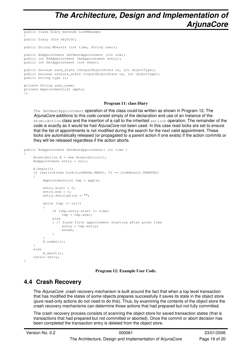```
public class Diary extends LockManager 
{ 
public Diary (Uid objUid); 
public String WhereIs (int time, String user); 
public AnAppointment GetNextAppointment (int now); 
public int AddAppointment (AnAppointment entry); 
public int DelAppointment (int when); 
public boolean save_state (OutputObjectState os, int objectType); 
public boolean restore_state (InputObjectState os, int objectType); 
public String type (); 
private String user_name; 
private AppointmentList appts; 
};
```
#### **Program 11: class Diary**

The GetNextAppointment operation of this class could be written as shown in Program 12. The ArjunaCore additions to this code consist simply of the declaration and use of an instance of the AtomicAction class and the insertion of a call to the inherited setlock operation. The remainder of the code is exactly as it would be had ArjunaCore not been used. In this case read locks are set to ensure that the list of appointments is not modified during the search for the next valid appointment. These locks are automatically released (or propagated to a parent action if one exists) if the action commits or they will be released regardless if the action aborts.

```
public AnAppointment GetNextAppointment( int time )
{ 
        AtomicAction A = new AtomicAction(); 
        AnAppointment entry = null; 
        A.begin(); 
        if (setlock(new Lock(LockMode.READ), 0) == LockResult.GRANTED) 
         { 
                AppointmentList tmp = appts; 
                entry.start = 0; 
                entry.end = 0; 
                entry.description = ""; 
                while (tmp != null) 
\left\{ \begin{array}{cc} 0 & 0 & 0 \\ 0 & 0 & 0 \\ 0 & 0 & 0 \\ 0 & 0 & 0 \\ 0 & 0 & 0 \\ 0 & 0 & 0 \\ 0 & 0 & 0 \\ 0 & 0 & 0 \\ 0 & 0 & 0 \\ 0 & 0 & 0 \\ 0 & 0 & 0 \\ 0 & 0 & 0 & 0 \\ 0 & 0 & 0 & 0 \\ 0 & 0 & 0 & 0 \\ 0 & 0 & 0 & 0 & 0 \\ 0 & 0 & 0 & 0 & 0 \\ 0 & 0 & 0 & 0 & 0 \\ 0 & 0 & 0 & 0 & 0 \\ 0 & 0 & 0 & 0 & 0 if (tmp.entry.start <= time) 
                              tmp = tmp.next; else 
                        { // found first appointment starting after given time 
                               entry = tmp.entry; 
                                break; 
 } 
 } 
                A.commit(); 
 } 
        else 
                A.abort(); 
        return entry; 
}
```
**Program 12: Example User Code.** 

### **4.4 Crash Recovery**

The ArjunaCore crash recovery mechanism is built around the fact that when a top level transaction that has modified the states of some objects prepares successfully it saves its state in the object store (pure read-only actions do not need to do this). Thus, by examining the contents of the object store the crash recovery mechanisms can determine those actions that had prepared but not fully committed.

The crash recovery process consists of scanning the object store for saved transaction states (that is transactions that had prepared but not committed or aborted). Once the commit or abort decision has been completed the transaction entry is deleted from the object store.